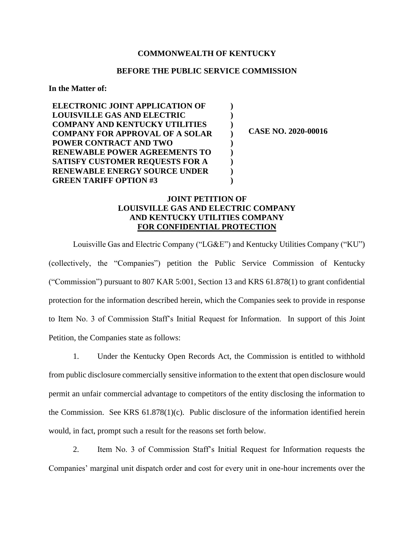## **COMMONWEALTH OF KENTUCKY**

## **BEFORE THE PUBLIC SERVICE COMMISSION**

**) ) ) ) ) ) ) ) )**

**In the Matter of:**

**ELECTRONIC JOINT APPLICATION OF LOUISVILLE GAS AND ELECTRIC COMPANY AND KENTUCKY UTILITIES COMPANY FOR APPROVAL OF A SOLAR POWER CONTRACT AND TWO RENEWABLE POWER AGREEMENTS TO SATISFY CUSTOMER REQUESTS FOR A RENEWABLE ENERGY SOURCE UNDER GREEN TARIFF OPTION #3**

**CASE NO. 2020-00016**

## **JOINT PETITION OF LOUISVILLE GAS AND ELECTRIC COMPANY AND KENTUCKY UTILITIES COMPANY FOR CONFIDENTIAL PROTECTION**

Louisville Gas and Electric Company ("LG&E") and Kentucky Utilities Company ("KU") (collectively, the "Companies") petition the Public Service Commission of Kentucky ("Commission") pursuant to 807 KAR 5:001, Section 13 and KRS 61.878(1) to grant confidential protection for the information described herein, which the Companies seek to provide in response to Item No. 3 of Commission Staff's Initial Request for Information. In support of this Joint Petition, the Companies state as follows:

1. Under the Kentucky Open Records Act, the Commission is entitled to withhold from public disclosure commercially sensitive information to the extent that open disclosure would permit an unfair commercial advantage to competitors of the entity disclosing the information to the Commission. See KRS 61.878(1)(c). Public disclosure of the information identified herein would, in fact, prompt such a result for the reasons set forth below.

2. Item No. 3 of Commission Staff's Initial Request for Information requests the Companies' marginal unit dispatch order and cost for every unit in one-hour increments over the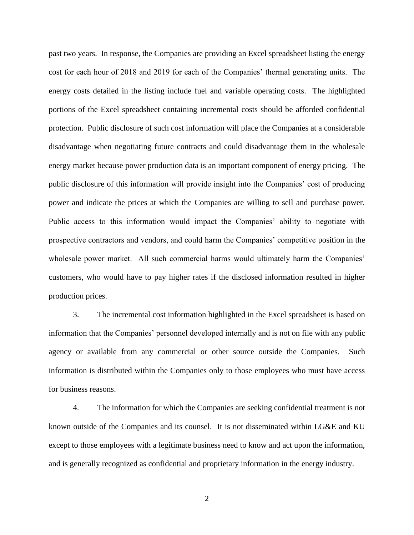past two years. In response, the Companies are providing an Excel spreadsheet listing the energy cost for each hour of 2018 and 2019 for each of the Companies' thermal generating units. The energy costs detailed in the listing include fuel and variable operating costs. The highlighted portions of the Excel spreadsheet containing incremental costs should be afforded confidential protection. Public disclosure of such cost information will place the Companies at a considerable disadvantage when negotiating future contracts and could disadvantage them in the wholesale energy market because power production data is an important component of energy pricing. The public disclosure of this information will provide insight into the Companies' cost of producing power and indicate the prices at which the Companies are willing to sell and purchase power. Public access to this information would impact the Companies' ability to negotiate with prospective contractors and vendors, and could harm the Companies' competitive position in the wholesale power market. All such commercial harms would ultimately harm the Companies' customers, who would have to pay higher rates if the disclosed information resulted in higher production prices.

3. The incremental cost information highlighted in the Excel spreadsheet is based on information that the Companies' personnel developed internally and is not on file with any public agency or available from any commercial or other source outside the Companies. Such information is distributed within the Companies only to those employees who must have access for business reasons.

4. The information for which the Companies are seeking confidential treatment is not known outside of the Companies and its counsel. It is not disseminated within LG&E and KU except to those employees with a legitimate business need to know and act upon the information, and is generally recognized as confidential and proprietary information in the energy industry.

2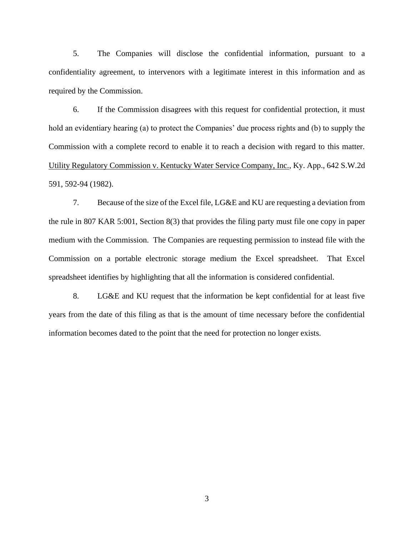5. The Companies will disclose the confidential information, pursuant to a confidentiality agreement, to intervenors with a legitimate interest in this information and as required by the Commission.

6. If the Commission disagrees with this request for confidential protection, it must hold an evidentiary hearing (a) to protect the Companies' due process rights and (b) to supply the Commission with a complete record to enable it to reach a decision with regard to this matter. Utility Regulatory Commission v. Kentucky Water Service Company, Inc., Ky. App., 642 S.W.2d 591, 592-94 (1982).

7. Because of the size of the Excel file, LG&E and KU are requesting a deviation from the rule in 807 KAR 5:001, Section 8(3) that provides the filing party must file one copy in paper medium with the Commission. The Companies are requesting permission to instead file with the Commission on a portable electronic storage medium the Excel spreadsheet. That Excel spreadsheet identifies by highlighting that all the information is considered confidential.

8. LG&E and KU request that the information be kept confidential for at least five years from the date of this filing as that is the amount of time necessary before the confidential information becomes dated to the point that the need for protection no longer exists.

3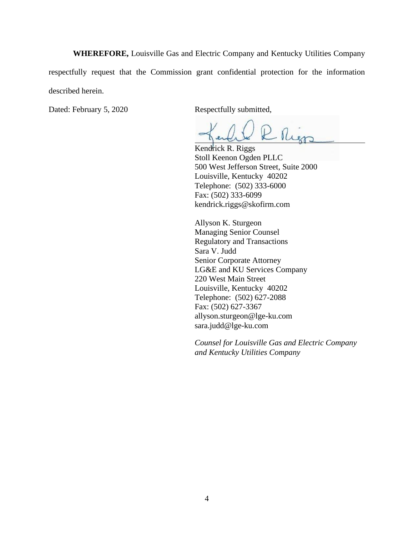**WHEREFORE,** Louisville Gas and Electric Company and Kentucky Utilities Company respectfully request that the Commission grant confidential protection for the information described herein.

Dated: February 5, 2020 Respectfully submitted,

Rier

Kendrick R. Riggs Stoll Keenon Ogden PLLC 500 West Jefferson Street, Suite 2000 Louisville, Kentucky 40202 Telephone: (502) 333-6000 Fax: (502) 333-6099 kendrick.riggs@skofirm.com

Allyson K. Sturgeon Managing Senior Counsel Regulatory and Transactions Sara V. Judd Senior Corporate Attorney LG&E and KU Services Company 220 West Main Street Louisville, Kentucky 40202 Telephone: (502) 627-2088 Fax: (502) 627-3367 allyson.sturgeon@lge-ku.com sara.judd@lge-ku.com

*Counsel for Louisville Gas and Electric Company and Kentucky Utilities Company*